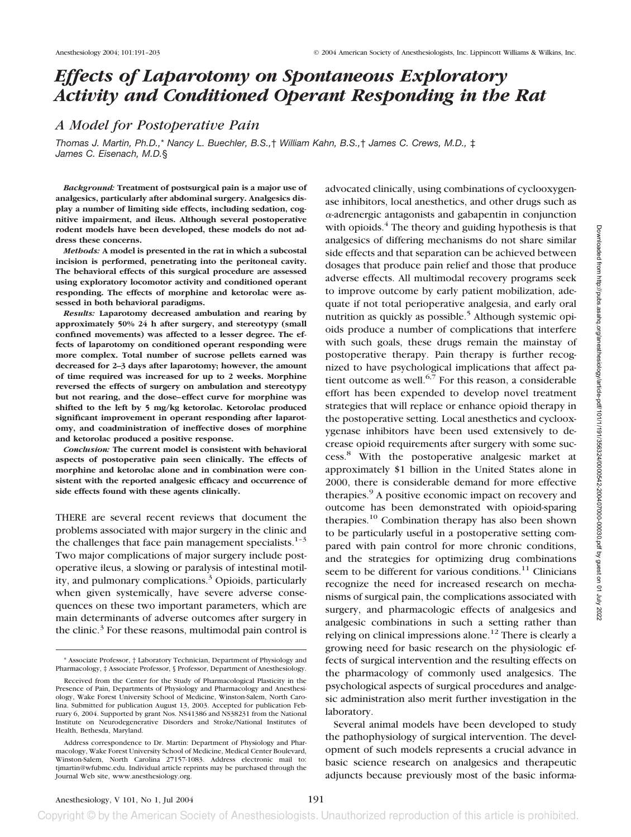# *Effects of Laparotomy on Spontaneous Exploratory Activity and Conditioned Operant Responding in the Rat*

## *A Model for Postoperative Pain*

*Thomas J. Martin, Ph.D.,*\* *Nancy L. Buechler, B.S.,*† *William Kahn, B.S.,*† *James C. Crews, M.D.,* ‡ *James C. Eisenach, M.D.*§

*Background:* **Treatment of postsurgical pain is a major use of analgesics, particularly after abdominal surgery. Analgesics display a number of limiting side effects, including sedation, cognitive impairment, and ileus. Although several postoperative rodent models have been developed, these models do not address these concerns.**

*Methods:* **A model is presented in the rat in which a subcostal incision is performed, penetrating into the peritoneal cavity. The behavioral effects of this surgical procedure are assessed using exploratory locomotor activity and conditioned operant responding. The effects of morphine and ketorolac were assessed in both behavioral paradigms.**

*Results:* **Laparotomy decreased ambulation and rearing by approximately 50% 24 h after surgery, and stereotypy (small confined movements) was affected to a lesser degree. The effects of laparotomy on conditioned operant responding were more complex. Total number of sucrose pellets earned was decreased for 2–3 days after laparotomy; however, the amount of time required was increased for up to 2 weeks. Morphine reversed the effects of surgery on ambulation and stereotypy but not rearing, and the dose–effect curve for morphine was shifted to the left by 5 mg/kg ketorolac. Ketorolac produced significant improvement in operant responding after laparotomy, and coadministration of ineffective doses of morphine and ketorolac produced a positive response.**

*Conclusion:* **The current model is consistent with behavioral aspects of postoperative pain seen clinically. The effects of morphine and ketorolac alone and in combination were consistent with the reported analgesic efficacy and occurrence of side effects found with these agents clinically.**

THERE are several recent reviews that document the problems associated with major surgery in the clinic and the challenges that face pain management specialists. $1-3$ Two major complications of major surgery include postoperative ileus, a slowing or paralysis of intestinal motility, and pulmonary complications.<sup>3</sup> Opioids, particularly when given systemically, have severe adverse consequences on these two important parameters, which are main determinants of adverse outcomes after surgery in the clinic. $3$  For these reasons, multimodal pain control is

advocated clinically, using combinations of cyclooxygenase inhibitors, local anesthetics, and other drugs such as -adrenergic antagonists and gabapentin in conjunction with opioids.<sup>4</sup> The theory and guiding hypothesis is that analgesics of differing mechanisms do not share similar side effects and that separation can be achieved between dosages that produce pain relief and those that produce adverse effects. All multimodal recovery programs seek to improve outcome by early patient mobilization, adequate if not total perioperative analgesia, and early oral nutrition as quickly as possible.<sup>5</sup> Although systemic opioids produce a number of complications that interfere with such goals, these drugs remain the mainstay of postoperative therapy. Pain therapy is further recognized to have psychological implications that affect patient outcome as well.<sup>6,7</sup> For this reason, a considerable effort has been expended to develop novel treatment strategies that will replace or enhance opioid therapy in the postoperative setting. Local anesthetics and cyclooxygenase inhibitors have been used extensively to decrease opioid requirements after surgery with some success.8 With the postoperative analgesic market at approximately \$1 billion in the United States alone in 2000, there is considerable demand for more effective therapies.<sup>9</sup> A positive economic impact on recovery and outcome has been demonstrated with opioid-sparing therapies. $10$  Combination therapy has also been shown to be particularly useful in a postoperative setting compared with pain control for more chronic conditions, and the strategies for optimizing drug combinations seem to be different for various conditions. $11$  Clinicians recognize the need for increased research on mechanisms of surgical pain, the complications associated with surgery, and pharmacologic effects of analgesics and analgesic combinations in such a setting rather than relying on clinical impressions alone.<sup>12</sup> There is clearly a growing need for basic research on the physiologic effects of surgical intervention and the resulting effects on the pharmacology of commonly used analgesics. The psychological aspects of surgical procedures and analgesic administration also merit further investigation in the laboratory.

Several animal models have been developed to study the pathophysiology of surgical intervention. The development of such models represents a crucial advance in basic science research on analgesics and therapeutic adjuncts because previously most of the basic informa-

## Anesthesiology, V 101, No 1, Jul 2004 191

<sup>\*</sup> Associate Professor, † Laboratory Technician, Department of Physiology and Pharmacology, ‡ Associate Professor, § Professor, Department of Anesthesiology.

Received from the Center for the Study of Pharmacological Plasticity in the Presence of Pain, Departments of Physiology and Pharmacology and Anesthesiology, Wake Forest University School of Medicine, Winston-Salem, North Carolina. Submitted for publication August 13, 2003. Accepted for publication February 6, 2004. Supported by grant Nos. NS41386 and NS38231 from the National Institute on Neurodegenerative Disorders and Stroke/National Institutes of Health, Bethesda, Maryland.

Address correspondence to Dr. Martin: Department of Physiology and Pharmacology, Wake Forest University School of Medicine, Medical Center Boulevard, Winston-Salem, North Carolina 27157-1083. Address electronic mail to: tjmartin@wfubmc.edu. Individual article reprints may be purchased through the Journal Web site, www.anesthesiology.org.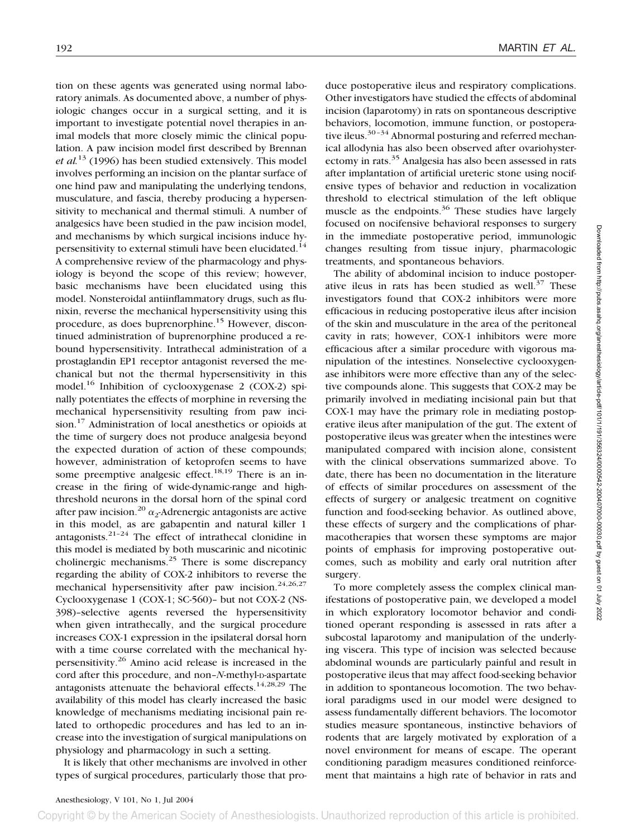tion on these agents was generated using normal laboratory animals. As documented above, a number of physiologic changes occur in a surgical setting, and it is important to investigate potential novel therapies in animal models that more closely mimic the clinical population. A paw incision model first described by Brennan *et al.*<sup>13</sup> (1996) has been studied extensively. This model involves performing an incision on the plantar surface of one hind paw and manipulating the underlying tendons, musculature, and fascia, thereby producing a hypersensitivity to mechanical and thermal stimuli. A number of analgesics have been studied in the paw incision model, and mechanisms by which surgical incisions induce hypersensitivity to external stimuli have been elucidated.<sup>14</sup> A comprehensive review of the pharmacology and physiology is beyond the scope of this review; however, basic mechanisms have been elucidated using this model. Nonsteroidal antiinflammatory drugs, such as flunixin, reverse the mechanical hypersensitivity using this procedure, as does buprenorphine.<sup>15</sup> However, discontinued administration of buprenorphine produced a rebound hypersensitivity. Intrathecal administration of a prostaglandin EP1 receptor antagonist reversed the mechanical but not the thermal hypersensitivity in this model.<sup>16</sup> Inhibition of cyclooxygenase 2 (COX-2) spinally potentiates the effects of morphine in reversing the mechanical hypersensitivity resulting from paw incision.<sup>17</sup> Administration of local anesthetics or opioids at the time of surgery does not produce analgesia beyond the expected duration of action of these compounds; however, administration of ketoprofen seems to have some preemptive analgesic effect.<sup>18,19</sup> There is an increase in the firing of wide-dynamic-range and highthreshold neurons in the dorsal horn of the spinal cord after paw incision.<sup>20</sup>  $\alpha_2$ -Adrenergic antagonists are active in this model, as are gabapentin and natural killer 1 antagonists. $2^{1-24}$  The effect of intrathecal clonidine in this model is mediated by both muscarinic and nicotinic cholinergic mechanisms.25 There is some discrepancy regarding the ability of COX-2 inhibitors to reverse the mechanical hypersensitivity after paw incision.<sup>24,26,27</sup> Cyclooxygenase 1 (COX-1; SC-560)– but not COX-2 (NS-398)–selective agents reversed the hypersensitivity when given intrathecally, and the surgical procedure increases COX-1 expression in the ipsilateral dorsal horn with a time course correlated with the mechanical hypersensitivity.26 Amino acid release is increased in the cord after this procedure, and non-*N*-methyl-D-aspartate antagonists attenuate the behavioral effects.<sup>14,28,29</sup> The availability of this model has clearly increased the basic knowledge of mechanisms mediating incisional pain related to orthopedic procedures and has led to an increase into the investigation of surgical manipulations on physiology and pharmacology in such a setting.

It is likely that other mechanisms are involved in other types of surgical procedures, particularly those that pro-

duce postoperative ileus and respiratory complications. Other investigators have studied the effects of abdominal incision (laparotomy) in rats on spontaneous descriptive behaviors, locomotion, immune function, or postoperative ileus. $30-34$  Abnormal posturing and referred mechanical allodynia has also been observed after ovariohysterectomy in rats.<sup>35</sup> Analgesia has also been assessed in rats after implantation of artificial ureteric stone using nocifensive types of behavior and reduction in vocalization threshold to electrical stimulation of the left oblique muscle as the endpoints. $36$  These studies have largely focused on nocifensive behavioral responses to surgery in the immediate postoperative period, immunologic changes resulting from tissue injury, pharmacologic treatments, and spontaneous behaviors.

The ability of abdominal incision to induce postoperative ileus in rats has been studied as well. $37$  These investigators found that COX-2 inhibitors were more efficacious in reducing postoperative ileus after incision of the skin and musculature in the area of the peritoneal cavity in rats; however, COX-1 inhibitors were more efficacious after a similar procedure with vigorous manipulation of the intestines. Nonselective cyclooxygenase inhibitors were more effective than any of the selective compounds alone. This suggests that COX-2 may be primarily involved in mediating incisional pain but that COX-1 may have the primary role in mediating postoperative ileus after manipulation of the gut. The extent of postoperative ileus was greater when the intestines were manipulated compared with incision alone, consistent with the clinical observations summarized above. To date, there has been no documentation in the literature of effects of similar procedures on assessment of the effects of surgery or analgesic treatment on cognitive function and food-seeking behavior. As outlined above, these effects of surgery and the complications of pharmacotherapies that worsen these symptoms are major points of emphasis for improving postoperative outcomes, such as mobility and early oral nutrition after surgery.

To more completely assess the complex clinical manifestations of postoperative pain, we developed a model in which exploratory locomotor behavior and conditioned operant responding is assessed in rats after a subcostal laparotomy and manipulation of the underlying viscera. This type of incision was selected because abdominal wounds are particularly painful and result in postoperative ileus that may affect food-seeking behavior in addition to spontaneous locomotion. The two behavioral paradigms used in our model were designed to assess fundamentally different behaviors. The locomotor studies measure spontaneous, instinctive behaviors of rodents that are largely motivated by exploration of a novel environment for means of escape. The operant conditioning paradigm measures conditioned reinforcement that maintains a high rate of behavior in rats and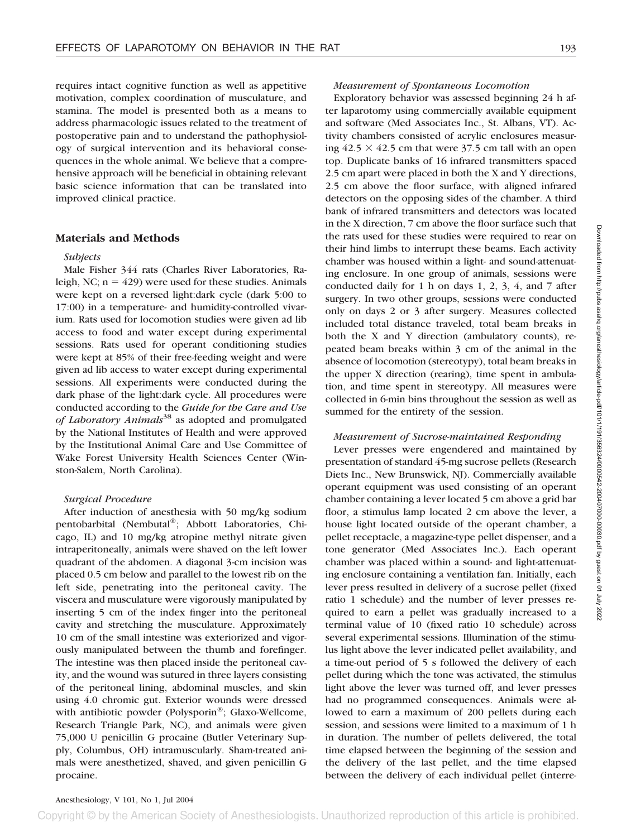requires intact cognitive function as well as appetitive motivation, complex coordination of musculature, and stamina. The model is presented both as a means to address pharmacologic issues related to the treatment of postoperative pain and to understand the pathophysiology of surgical intervention and its behavioral consequences in the whole animal. We believe that a comprehensive approach will be beneficial in obtaining relevant basic science information that can be translated into improved clinical practice.

## **Materials and Methods**

#### *Subjects*

Male Fisher 344 rats (Charles River Laboratories, Raleigh, NC;  $n = 429$ ) were used for these studies. Animals were kept on a reversed light:dark cycle (dark 5:00 to 17:00) in a temperature- and humidity-controlled vivarium. Rats used for locomotion studies were given ad lib access to food and water except during experimental sessions. Rats used for operant conditioning studies were kept at 85% of their free-feeding weight and were given ad lib access to water except during experimental sessions. All experiments were conducted during the dark phase of the light:dark cycle. All procedures were conducted according to the *Guide for the Care and Use* of Laboratory Animals<sup>38</sup> as adopted and promulgated by the National Institutes of Health and were approved by the Institutional Animal Care and Use Committee of Wake Forest University Health Sciences Center (Winston-Salem, North Carolina).

#### *Surgical Procedure*

After induction of anesthesia with 50 mg/kg sodium pentobarbital (Nembutal®; Abbott Laboratories, Chicago, IL) and 10 mg/kg atropine methyl nitrate given intraperitoneally, animals were shaved on the left lower quadrant of the abdomen. A diagonal 3-cm incision was placed 0.5 cm below and parallel to the lowest rib on the left side, penetrating into the peritoneal cavity. The viscera and musculature were vigorously manipulated by inserting 5 cm of the index finger into the peritoneal cavity and stretching the musculature. Approximately 10 cm of the small intestine was exteriorized and vigorously manipulated between the thumb and forefinger. The intestine was then placed inside the peritoneal cavity, and the wound was sutured in three layers consisting of the peritoneal lining, abdominal muscles, and skin using 4.0 chromic gut. Exterior wounds were dressed with antibiotic powder (Polysporin®; Glaxo-Wellcome, Research Triangle Park, NC), and animals were given 75,000 U penicillin G procaine (Butler Veterinary Supply, Columbus, OH) intramuscularly. Sham-treated animals were anesthetized, shaved, and given penicillin G procaine.

#### *Measurement of Spontaneous Locomotion*

Exploratory behavior was assessed beginning 24 h after laparotomy using commercially available equipment and software (Med Associates Inc., St. Albans, VT). Activity chambers consisted of acrylic enclosures measuring  $42.5 \times 42.5$  cm that were 37.5 cm tall with an open top. Duplicate banks of 16 infrared transmitters spaced 2.5 cm apart were placed in both the X and Y directions, 2.5 cm above the floor surface, with aligned infrared detectors on the opposing sides of the chamber. A third bank of infrared transmitters and detectors was located in the X direction, 7 cm above the floor surface such that the rats used for these studies were required to rear on their hind limbs to interrupt these beams. Each activity chamber was housed within a light- and sound-attenuating enclosure. In one group of animals, sessions were conducted daily for 1 h on days 1, 2, 3, 4, and 7 after surgery. In two other groups, sessions were conducted only on days 2 or 3 after surgery. Measures collected included total distance traveled, total beam breaks in both the X and Y direction (ambulatory counts), repeated beam breaks within 3 cm of the animal in the absence of locomotion (stereotypy), total beam breaks in the upper X direction (rearing), time spent in ambulation, and time spent in stereotypy. All measures were collected in 6-min bins throughout the session as well as summed for the entirety of the session.

#### *Measurement of Sucrose-maintained Responding*

Lever presses were engendered and maintained by presentation of standard 45-mg sucrose pellets (Research Diets Inc., New Brunswick, NJ). Commercially available operant equipment was used consisting of an operant chamber containing a lever located 5 cm above a grid bar floor, a stimulus lamp located 2 cm above the lever, a house light located outside of the operant chamber, a pellet receptacle, a magazine-type pellet dispenser, and a tone generator (Med Associates Inc.). Each operant chamber was placed within a sound- and light-attenuating enclosure containing a ventilation fan. Initially, each lever press resulted in delivery of a sucrose pellet (fixed ratio 1 schedule) and the number of lever presses required to earn a pellet was gradually increased to a terminal value of 10 (fixed ratio 10 schedule) across several experimental sessions. Illumination of the stimulus light above the lever indicated pellet availability, and a time-out period of 5 s followed the delivery of each pellet during which the tone was activated, the stimulus light above the lever was turned off, and lever presses had no programmed consequences. Animals were allowed to earn a maximum of 200 pellets during each session, and sessions were limited to a maximum of 1 h in duration. The number of pellets delivered, the total time elapsed between the beginning of the session and the delivery of the last pellet, and the time elapsed between the delivery of each individual pellet (interre-

## Anesthesiology, V 101, No 1, Jul 2004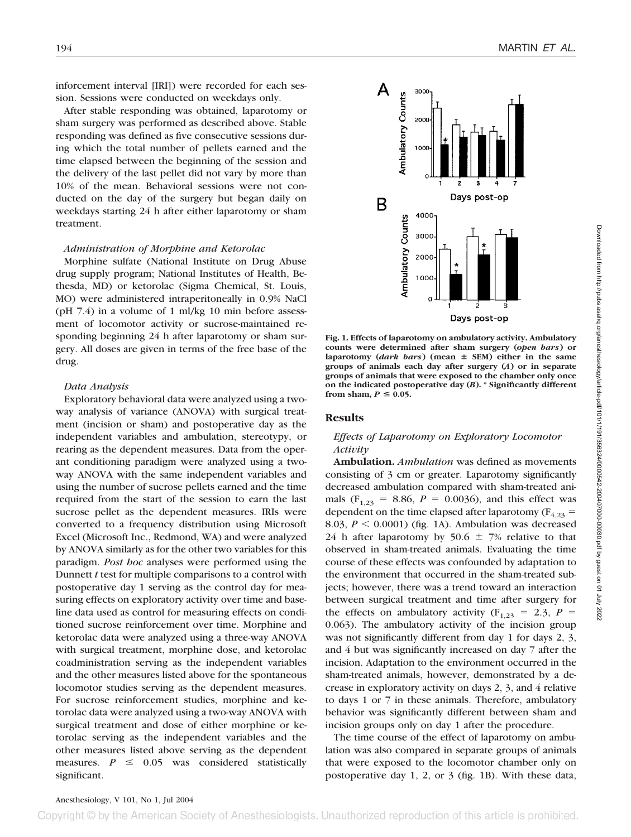inforcement interval [IRI]) were recorded for each session. Sessions were conducted on weekdays only.

After stable responding was obtained, laparotomy or sham surgery was performed as described above. Stable responding was defined as five consecutive sessions during which the total number of pellets earned and the time elapsed between the beginning of the session and the delivery of the last pellet did not vary by more than 10% of the mean. Behavioral sessions were not conducted on the day of the surgery but began daily on weekdays starting 24 h after either laparotomy or sham treatment.

#### *Administration of Morphine and Ketorolac*

Morphine sulfate (National Institute on Drug Abuse drug supply program; National Institutes of Health, Bethesda, MD) or ketorolac (Sigma Chemical, St. Louis, MO) were administered intraperitoneally in 0.9% NaCl (pH 7.4) in a volume of 1 ml/kg 10 min before assessment of locomotor activity or sucrose-maintained responding beginning 24 h after laparotomy or sham surgery. All doses are given in terms of the free base of the drug.

#### *Data Analysis*

Exploratory behavioral data were analyzed using a twoway analysis of variance (ANOVA) with surgical treatment (incision or sham) and postoperative day as the independent variables and ambulation, stereotypy, or rearing as the dependent measures. Data from the operant conditioning paradigm were analyzed using a twoway ANOVA with the same independent variables and using the number of sucrose pellets earned and the time required from the start of the session to earn the last sucrose pellet as the dependent measures. IRIs were converted to a frequency distribution using Microsoft Excel (Microsoft Inc., Redmond, WA) and were analyzed by ANOVA similarly as for the other two variables for this paradigm. *Post hoc* analyses were performed using the Dunnett *t* test for multiple comparisons to a control with postoperative day 1 serving as the control day for measuring effects on exploratory activity over time and baseline data used as control for measuring effects on conditioned sucrose reinforcement over time. Morphine and ketorolac data were analyzed using a three-way ANOVA with surgical treatment, morphine dose, and ketorolac coadministration serving as the independent variables and the other measures listed above for the spontaneous locomotor studies serving as the dependent measures. For sucrose reinforcement studies, morphine and ketorolac data were analyzed using a two-way ANOVA with surgical treatment and dose of either morphine or ketorolac serving as the independent variables and the other measures listed above serving as the dependent measures.  $P \leq 0.05$  was considered statistically significant.



**Fig. 1. Effects of laparotomy on ambulatory activity. Ambulatory counts were determined after sham surgery (***open bars***) or laparotomy (***dark bars***) (mean SEM) either in the same groups of animals each day after surgery (***A***) or in separate groups of animals that were exposed to the chamber only once on the indicated postoperative day (***B***). \* Significantly different** from sham,  $P \leq 0.05$ .

#### **Results**

#### *Effects of Laparotomy on Exploratory Locomotor Activity*

**Ambulation.** *Ambulation* was defined as movements consisting of 3 cm or greater. Laparotomy significantly decreased ambulation compared with sham-treated animals ( $F_{1,23} = 8.86$ ,  $P = 0.0036$ ), and this effect was dependent on the time elapsed after laparotomy ( $F_{4,23}$  = 8.03,  $P \le 0.0001$ ) (fig. 1A). Ambulation was decreased 24 h after laparotomy by 50.6  $\pm$  7% relative to that observed in sham-treated animals. Evaluating the time course of these effects was confounded by adaptation to the environment that occurred in the sham-treated subjects; however, there was a trend toward an interaction between surgical treatment and time after surgery for the effects on ambulatory activity ( $F_{1,23} = 2.3$ ,  $P =$ 0.063). The ambulatory activity of the incision group was not significantly different from day 1 for days 2, 3, and 4 but was significantly increased on day 7 after the incision. Adaptation to the environment occurred in the sham-treated animals, however, demonstrated by a decrease in exploratory activity on days 2, 3, and 4 relative to days 1 or 7 in these animals. Therefore, ambulatory behavior was significantly different between sham and incision groups only on day 1 after the procedure.

The time course of the effect of laparotomy on ambulation was also compared in separate groups of animals that were exposed to the locomotor chamber only on postoperative day 1, 2, or 3 (fig. 1B). With these data,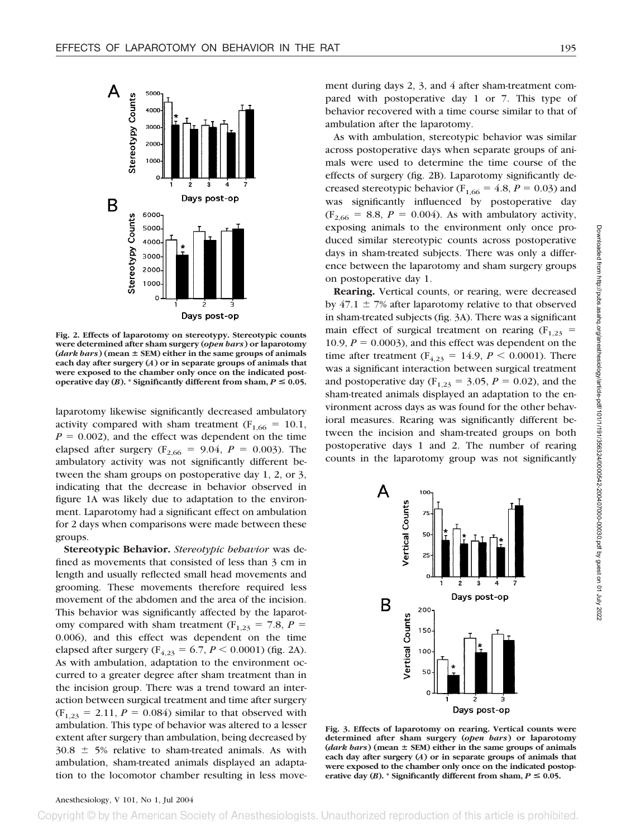

**Fig. 2. Effects of laparotomy on stereotypy. Stereotypic counts were determined after sham surgery (***open bars***) or laparotomy (***dark bars***) (mean SEM) either in the same groups of animals each day after surgery (***A***) or in separate groups of animals that were exposed to the chamber only once on the indicated postoperative day (***B***). \* Significantly different from sham,**  $P \le 0.05$ **.** 

laparotomy likewise significantly decreased ambulatory activity compared with sham treatment ( $F_{1,66} = 10.1$ ,  $P = 0.002$ , and the effect was dependent on the time elapsed after surgery ( $F_{2,66} = 9.04$ ,  $P = 0.003$ ). The ambulatory activity was not significantly different between the sham groups on postoperative day 1, 2, or 3, indicating that the decrease in behavior observed in figure 1A was likely due to adaptation to the environment. Laparotomy had a significant effect on ambulation for 2 days when comparisons were made between these groups.

**Stereotypic Behavior.** *Stereotypic behavior* was defined as movements that consisted of less than 3 cm in length and usually reflected small head movements and grooming. These movements therefore required less movement of the abdomen and the area of the incision. This behavior was significantly affected by the laparotomy compared with sham treatment ( $F_{1,23} = 7.8$ ,  $P =$ 0.006), and this effect was dependent on the time elapsed after surgery ( $F_{4,23} = 6.7$ ,  $P < 0.0001$ ) (fig. 2A). As with ambulation, adaptation to the environment occurred to a greater degree after sham treatment than in the incision group. There was a trend toward an interaction between surgical treatment and time after surgery  $(F_{1,23} = 2.11, P = 0.084)$  similar to that observed with ambulation. This type of behavior was altered to a lesser extent after surgery than ambulation, being decreased by  $30.8 \pm 5\%$  relative to sham-treated animals. As with ambulation, sham-treated animals displayed an adaptation to the locomotor chamber resulting in less move-

ment during days 2, 3, and 4 after sham-treatment compared with postoperative day 1 or 7. This type of behavior recovered with a time course similar to that of ambulation after the laparotomy.

As with ambulation, stereotypic behavior was similar across postoperative days when separate groups of animals were used to determine the time course of the effects of surgery (fig. 2B). Laparotomy significantly decreased stereotypic behavior ( $F_{1,66} = 4.8$ ,  $P = 0.03$ ) and was significantly influenced by postoperative day  $(F_{2,66} = 8.8, P = 0.004)$ . As with ambulatory activity, exposing animals to the environment only once produced similar stereotypic counts across postoperative days in sham-treated subjects. There was only a difference between the laparotomy and sham surgery groups on postoperative day 1.

**Rearing.** Vertical counts, or rearing, were decreased by  $47.1 \pm 7\%$  after laparotomy relative to that observed in sham-treated subjects (fig. 3A). There was a significant main effect of surgical treatment on rearing  $(F_{1,23})$ 10.9,  $P = 0.0003$ ), and this effect was dependent on the time after treatment ( $F_{4,23} = 14.9, P \le 0.0001$ ). There was a significant interaction between surgical treatment and postoperative day ( $F_{1,23} = 3.05$ ,  $P = 0.02$ ), and the sham-treated animals displayed an adaptation to the environment across days as was found for the other behavioral measures. Rearing was significantly different between the incision and sham-treated groups on both postoperative days 1 and 2. The number of rearing counts in the laparotomy group was not significantly



**Fig. 3. Effects of laparotomy on rearing. Vertical counts were determined after sham surgery (***open bars***) or laparotomy (***dark bars***) (mean SEM) either in the same groups of animals each day after surgery (***A***) or in separate groups of animals that were exposed to the chamber only once on the indicated postop**erative day (*B*). \* Significantly different from sham,  $P \le 0.05$ .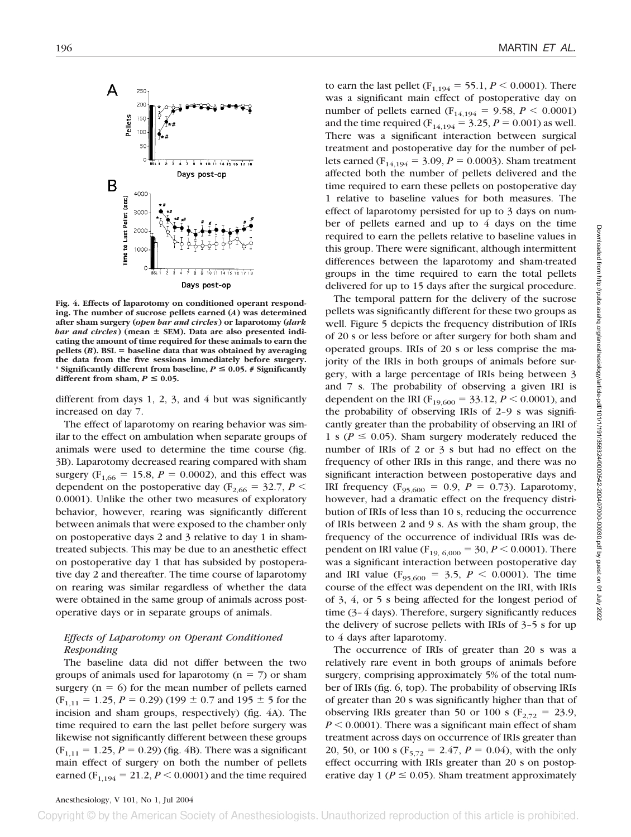

**Fig. 4. Effects of laparotomy on conditioned operant responding. The number of sucrose pellets earned (***A***) was determined after sham surgery (***open bar and circles***) or laparotomy (***dark bar and circles***) (mean SEM). Data are also presented indicating the amount of time required for these animals to earn the pellets (***B***). BSL** - **baseline data that was obtained by averaging the data from the five sessions immediately before surgery. \* Significantly different from baseline,** *P* < **0.05. # Significantly** different from sham,  $P \leq 0.05$ .

different from days 1, 2, 3, and 4 but was significantly increased on day 7.

The effect of laparotomy on rearing behavior was similar to the effect on ambulation when separate groups of animals were used to determine the time course (fig. 3B). Laparotomy decreased rearing compared with sham surgery ( $F_{1,66} = 15.8$ ,  $P = 0.0002$ ), and this effect was dependent on the postoperative day ( $F_{2,66}$  = 32.7, *P* < 0.0001). Unlike the other two measures of exploratory behavior, however, rearing was significantly different between animals that were exposed to the chamber only on postoperative days 2 and 3 relative to day 1 in shamtreated subjects. This may be due to an anesthetic effect on postoperative day 1 that has subsided by postoperative day 2 and thereafter. The time course of laparotomy on rearing was similar regardless of whether the data were obtained in the same group of animals across postoperative days or in separate groups of animals.

## *Effects of Laparotomy on Operant Conditioned Responding*

The baseline data did not differ between the two groups of animals used for laparotomy  $(n = 7)$  or sham surgery ( $n = 6$ ) for the mean number of pellets earned  $(F<sub>1,11</sub> = 1.25, P = 0.29)$  (199  $\pm$  0.7 and 195  $\pm$  5 for the incision and sham groups, respectively) (fig. 4A). The time required to earn the last pellet before surgery was likewise not significantly different between these groups  $(F_{1,11} = 1.25, P = 0.29)$  (fig. 4B). There was a significant main effect of surgery on both the number of pellets earned ( $F_{1,194} = 21.2, P \le 0.0001$ ) and the time required

to earn the last pellet ( $F_{1,194} = 55.1, P \le 0.0001$ ). There was a significant main effect of postoperative day on number of pellets earned ( $F_{14,194} = 9.58$ ,  $P < 0.0001$ ) and the time required ( $F_{14,194} = 3.25$ ,  $P = 0.001$ ) as well. There was a significant interaction between surgical treatment and postoperative day for the number of pellets earned ( $F_{14,194} = 3.09$ ,  $P = 0.0003$ ). Sham treatment affected both the number of pellets delivered and the time required to earn these pellets on postoperative day 1 relative to baseline values for both measures. The effect of laparotomy persisted for up to 3 days on number of pellets earned and up to 4 days on the time required to earn the pellets relative to baseline values in this group. There were significant, although intermittent differences between the laparotomy and sham-treated groups in the time required to earn the total pellets delivered for up to 15 days after the surgical procedure.

The temporal pattern for the delivery of the sucrose pellets was significantly different for these two groups as well. Figure 5 depicts the frequency distribution of IRIs of 20 s or less before or after surgery for both sham and operated groups. IRIs of 20 s or less comprise the majority of the IRIs in both groups of animals before surgery, with a large percentage of IRIs being between 3 and 7 s. The probability of observing a given IRI is dependent on the IRI ( $F_{19,600} = 33.12, P \le 0.0001$ ), and the probability of observing IRIs of 2–9 s was significantly greater than the probability of observing an IRI of 1 s ( $P \le 0.05$ ). Sham surgery moderately reduced the number of IRIs of 2 or 3 s but had no effect on the frequency of other IRIs in this range, and there was no significant interaction between postoperative days and IRI frequency ( $F_{95,600} = 0.9$ ,  $P = 0.73$ ). Laparotomy, however, had a dramatic effect on the frequency distribution of IRIs of less than 10 s, reducing the occurrence of IRIs between 2 and 9 s. As with the sham group, the frequency of the occurrence of individual IRIs was dependent on IRI value ( $F_{19, 6,000} = 30, P \le 0.0001$ ). There was a significant interaction between postoperative day and IRI value ( $F_{95,600} = 3.5$ ,  $P < 0.0001$ ). The time course of the effect was dependent on the IRI, with IRIs of 3, 4, or 5 s being affected for the longest period of time (3–4 days). Therefore, surgery significantly reduces the delivery of sucrose pellets with IRIs of 3–5 s for up to 4 days after laparotomy.

The occurrence of IRIs of greater than 20 s was a relatively rare event in both groups of animals before surgery, comprising approximately 5% of the total number of IRIs (fig. 6, top). The probability of observing IRIs of greater than 20 s was significantly higher than that of observing IRIs greater than 50 or 100 s ( $F_{2,72} = 23.9$ ,  $P \leq 0.0001$ ). There was a significant main effect of sham treatment across days on occurrence of IRIs greater than 20, 50, or 100 s ( $F_{5,72} = 2.47$ ,  $P = 0.04$ ), with the only effect occurring with IRIs greater than 20 s on postoperative day 1 ( $P \le 0.05$ ). Sham treatment approximately

Anesthesiology, V 101, No 1, Jul 2004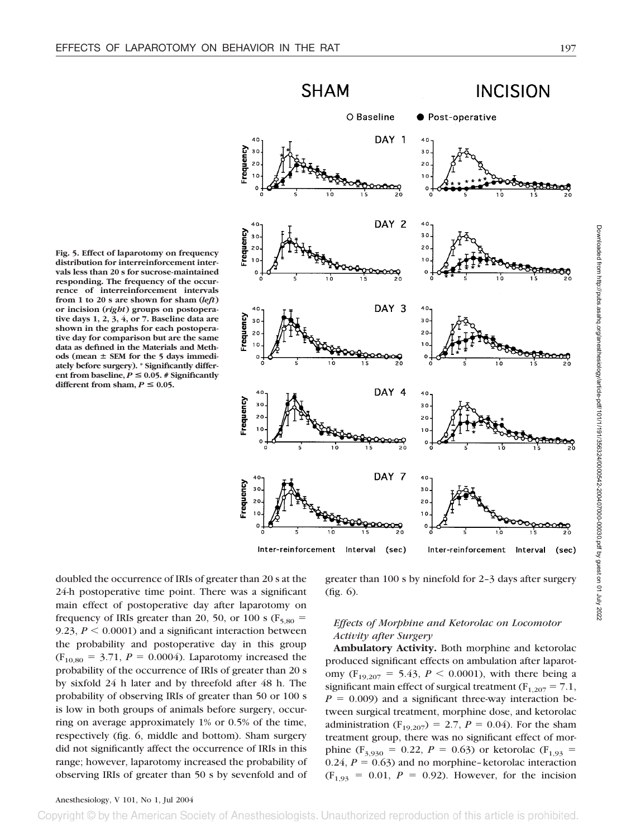**Fig. 5. Effect of laparotomy on frequency distribution for interreinforcement intervals less than 20 s for sucrose-maintained responding. The frequency of the occurrence of interreinforcement intervals from 1 to 20 s are shown for sham (***left***) or incision (***right***) groups on postoperative days 1, 2, 3, 4, or 7. Baseline data are shown in the graphs for each postoperative day for comparison but are the same data as defined in the Materials and Methods (mean SEM for the 5 days immediately before surgery). \* Significantly differ**ent from baseline,  $P \leq 0.05$ . # Significantly different from sham,  $P \leq 0.05$ .



doubled the occurrence of IRIs of greater than 20 s at the 24-h postoperative time point. There was a significant main effect of postoperative day after laparotomy on frequency of IRIs greater than 20, 50, or 100 s ( $F_{5,80}$  = 9.23,  $P \le 0.0001$ ) and a significant interaction between the probability and postoperative day in this group  $(F_{10,80} = 3.71, P = 0.0004)$ . Laparotomy increased the probability of the occurrence of IRIs of greater than 20 s by sixfold 24 h later and by threefold after 48 h. The probability of observing IRIs of greater than 50 or 100 s is low in both groups of animals before surgery, occurring on average approximately 1% or 0.5% of the time, respectively (fig. 6, middle and bottom). Sham surgery did not significantly affect the occurrence of IRIs in this range; however, laparotomy increased the probability of observing IRIs of greater than 50 s by sevenfold and of

greater than 100 s by ninefold for 2–3 days after surgery (fig. 6).

## *Effects of Morphine and Ketorolac on Locomotor Activity after Surgery*

**Ambulatory Activity.** Both morphine and ketorolac produced significant effects on ambulation after laparotomy ( $F_{19,207} = 5.43$ ,  $P \le 0.0001$ ), with there being a significant main effect of surgical treatment ( $F_{1,207} = 7.1$ ,  $P = 0.009$ ) and a significant three-way interaction between surgical treatment, morphine dose, and ketorolac administration (F<sub>19,207</sub>) = 2.7, *P* = 0.04). For the sham treatment group, there was no significant effect of morphine (F<sub>3,930</sub> = 0.22, *P* = 0.63) or ketorolac (F<sub>1,93</sub> = 0.24,  $P = 0.63$ ) and no morphine–ketorolac interaction  $(F_{1,93} = 0.01, P = 0.92)$ . However, for the incision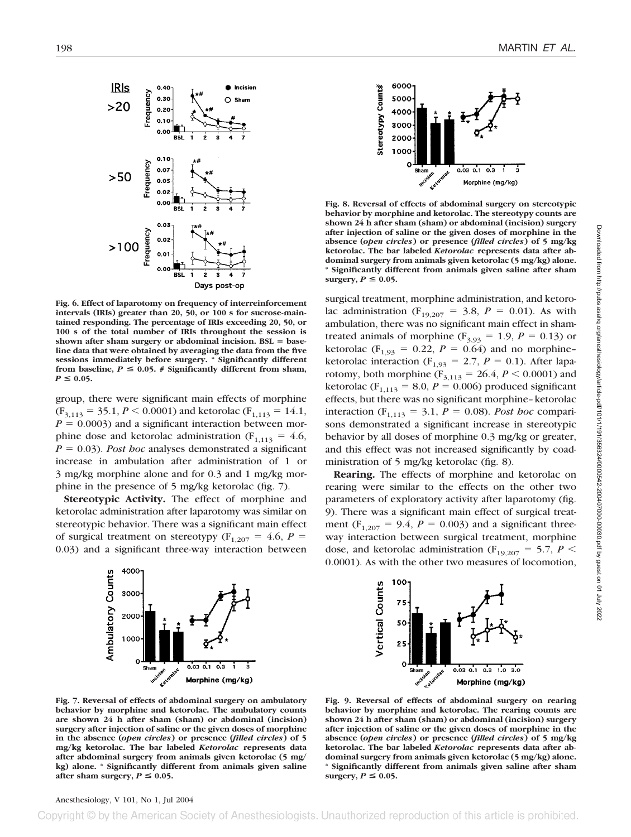

**Fig. 6. Effect of laparotomy on frequency of interreinforcement intervals (IRIs) greater than 20, 50, or 100 s for sucrose-maintained responding. The percentage of IRIs exceeding 20, 50, or 100 s of the total number of IRIs throughout the session is** shown after sham surgery or abdominal incision. BSL = base**line data that were obtained by averaging the data from the five sessions immediately before surgery. \* Significantly different** from baseline,  $P \leq 0.05$ . # Significantly different from sham,  $P \le 0.05$ .

group, there were significant main effects of morphine  $(F_{3,113} = 35.1, P \le 0.0001)$  and ketorolac  $(F_{1,113} = 14.1,$  $P = 0.0003$ ) and a significant interaction between morphine dose and ketorolac administration ( $F_{1,113} = 4.6$ ,  $P = 0.03$ ). *Post hoc* analyses demonstrated a significant increase in ambulation after administration of 1 or 3 mg/kg morphine alone and for 0.3 and 1 mg/kg morphine in the presence of 5 mg/kg ketorolac (fig. 7).

**Stereotypic Activity.** The effect of morphine and ketorolac administration after laparotomy was similar on stereotypic behavior. There was a significant main effect of surgical treatment on stereotypy ( $F_{1,207} = 4.6$ ,  $P =$ 0.03) and a significant three-way interaction between





**Fig. 8. Reversal of effects of abdominal surgery on stereotypic behavior by morphine and ketorolac. The stereotypy counts are shown 24 h after sham (sham) or abdominal (incision) surgery after injection of saline or the given doses of morphine in the absence (***open circles***) or presence (***filled circles***) of 5 mg/kg ketorolac. The bar labeled** *Ketorolac* **represents data after abdominal surgery from animals given ketorolac (5 mg/kg) alone. \* Significantly different from animals given saline after sham** surgery,  $P \leq 0.05$ .

surgical treatment, morphine administration, and ketorolac administration ( $F_{19,207} = 3.8$ ,  $P = 0.01$ ). As with ambulation, there was no significant main effect in shamtreated animals of morphine ( $F_{3,93} = 1.9$ ,  $P = 0.13$ ) or ketorolac ( $F_{1,93} = 0.22$ ,  $P = 0.64$ ) and no morphine– ketorolac interaction ( $F_{1,93} = 2.7$ ,  $P = 0.1$ ). After laparotomy, both morphine ( $F_{3,113} = 26.4, P \le 0.0001$ ) and ketorolac ( $F_{1,113} = 8.0, P = 0.006$ ) produced significant effects, but there was no significant morphine–ketorolac interaction ( $F_{1,113} = 3.1$ ,  $P = 0.08$ ). *Post hoc* comparisons demonstrated a significant increase in stereotypic behavior by all doses of morphine 0.3 mg/kg or greater, and this effect was not increased significantly by coadministration of 5 mg/kg ketorolac (fig. 8).

**Rearing.** The effects of morphine and ketorolac on rearing were similar to the effects on the other two parameters of exploratory activity after laparotomy (fig. 9). There was a significant main effect of surgical treatment ( $F_{1,207} = 9.4$ ,  $P = 0.003$ ) and a significant threeway interaction between surgical treatment, morphine dose, and ketorolac administration ( $F_{19,207}$  = 5.7, *P* < 0.0001). As with the other two measures of locomotion,



**Fig. 7. Reversal of effects of abdominal surgery on ambulatory behavior by morphine and ketorolac. The ambulatory counts are shown 24 h after sham (sham) or abdominal (incision) surgery after injection of saline or the given doses of morphine in the absence (***open circles***) or presence (***filled circles***) of 5 mg/kg ketorolac. The bar labeled** *Ketorolac* **represents data after abdominal surgery from animals given ketorolac (5 mg/ kg) alone. \* Significantly different from animals given saline** after sham surgery,  $P \leq 0.05$ .

**Fig. 9. Reversal of effects of abdominal surgery on rearing behavior by morphine and ketorolac. The rearing counts are shown 24 h after sham (sham) or abdominal (incision) surgery after injection of saline or the given doses of morphine in the absence (***open circles***) or presence (***filled circles***) of 5 mg/kg ketorolac. The bar labeled** *Ketorolac* **represents data after abdominal surgery from animals given ketorolac (5 mg/kg) alone. \* Significantly different from animals given saline after sham**  $surgery, P \leq 0.05$ .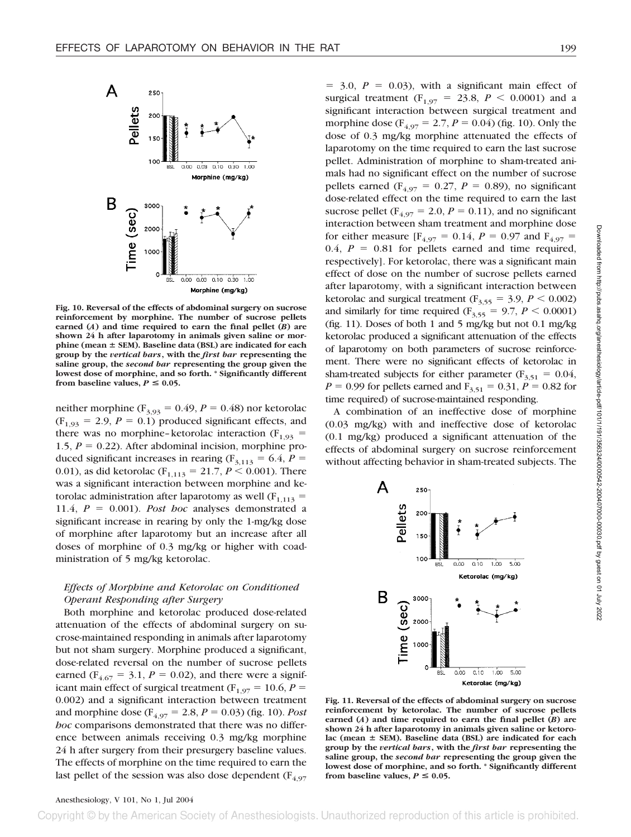

**Fig. 10. Reversal of the effects of abdominal surgery on sucrose reinforcement by morphine. The number of sucrose pellets earned (***A***) and time required to earn the final pellet (***B***) are shown 24 h after laparotomy in animals given saline or morphine (mean SEM). Baseline data (BSL) are indicated for each group by the** *vertical bars***, with the** *first bar* **representing the saline group, the** *second bar* **representing the group given the lowest dose of morphine, and so forth. \* Significantly different** from baseline values,  $P \leq 0.05$ .

neither morphine ( $F_{3,93} = 0.49$ ,  $P = 0.48$ ) nor ketorolac  $(F<sub>1.93</sub> = 2.9, P = 0.1)$  produced significant effects, and there was no morphine–ketorolac interaction ( $F_{1,93}$  = 1.5,  $P = 0.22$ ). After abdominal incision, morphine produced significant increases in rearing ( $F_{3,113} = 6.4$ ,  $P =$ 0.01), as did ketorolac ( $F_{1,113} = 21.7, P \le 0.001$ ). There was a significant interaction between morphine and ketorolac administration after laparotomy as well  $(F<sub>1,113</sub> =$ 11.4,  $P = 0.001$ ). *Post hoc* analyses demonstrated a significant increase in rearing by only the 1-mg/kg dose of morphine after laparotomy but an increase after all doses of morphine of 0.3 mg/kg or higher with coadministration of 5 mg/kg ketorolac.

## *Effects of Morphine and Ketorolac on Conditioned Operant Responding after Surgery*

Both morphine and ketorolac produced dose-related attenuation of the effects of abdominal surgery on sucrose-maintained responding in animals after laparotomy but not sham surgery. Morphine produced a significant, dose-related reversal on the number of sucrose pellets earned ( $F_{4.67} = 3.1, P = 0.02$ ), and there were a significant main effect of surgical treatment ( $F_{1,97} = 10.6, P =$ 0.002) and a significant interaction between treatment and morphine dose ( $F_{4.97} = 2.8$ ,  $P = 0.03$ ) (fig. 10). *Post hoc* comparisons demonstrated that there was no difference between animals receiving 0.3 mg/kg morphine 24 h after surgery from their presurgery baseline values. The effects of morphine on the time required to earn the last pellet of the session was also dose dependent ( $F_{4,97}$ )  $= 3.0$ ,  $P = 0.03$ ), with a significant main effect of surgical treatment ( $F_{1,97} = 23.8$ ,  $P < 0.0001$ ) and a significant interaction between surgical treatment and morphine dose ( $F_{4,97} = 2.7, P = 0.04$ ) (fig. 10). Only the dose of 0.3 mg/kg morphine attenuated the effects of laparotomy on the time required to earn the last sucrose pellet. Administration of morphine to sham-treated animals had no significant effect on the number of sucrose pellets earned ( $F_{4.97} = 0.27$ ,  $P = 0.89$ ), no significant dose-related effect on the time required to earn the last sucrose pellet ( $F_{4,97} = 2.0$ ,  $P = 0.11$ ), and no significant interaction between sham treatment and morphine dose for either measure  $[F_{4.97} = 0.14, P = 0.97$  and  $F_{4.97} =$  $0.4$ ,  $P = 0.81$  for pellets earned and time required, respectively]. For ketorolac, there was a significant main effect of dose on the number of sucrose pellets earned after laparotomy, with a significant interaction between ketorolac and surgical treatment ( $F_{3,55} = 3.9$ ,  $P < 0.002$ ) and similarly for time required ( $F_{3,55} = 9.7$ ,  $P \le 0.0001$ ) (fig. 11). Doses of both 1 and 5 mg/kg but not 0.1 mg/kg ketorolac produced a significant attenuation of the effects of laparotomy on both parameters of sucrose reinforcement. There were no significant effects of ketorolac in sham-treated subjects for either parameter ( $F_{3,51} = 0.04$ ,  $P = 0.99$  for pellets earned and  $F_{3,51} = 0.31$ ,  $P = 0.82$  for time required) of sucrose-maintained responding.

A combination of an ineffective dose of morphine (0.03 mg/kg) with and ineffective dose of ketorolac (0.1 mg/kg) produced a significant attenuation of the effects of abdominal surgery on sucrose reinforcement without affecting behavior in sham-treated subjects. The



**Fig. 11. Reversal of the effects of abdominal surgery on sucrose reinforcement by ketorolac. The number of sucrose pellets earned (***A***) and time required to earn the final pellet (***B***) are shown 24 h after laparotomy in animals given saline or ketorolac (mean SEM). Baseline data (BSL) are indicated for each group by the** *vertical bars***, with the** *first bar* **representing the saline group, the** *second bar* **representing the group given the lowest dose of morphine, and so forth. \* Significantly different** from baseline values,  $P \leq 0.05$ .

## Anesthesiology, V 101, No 1, Jul 2004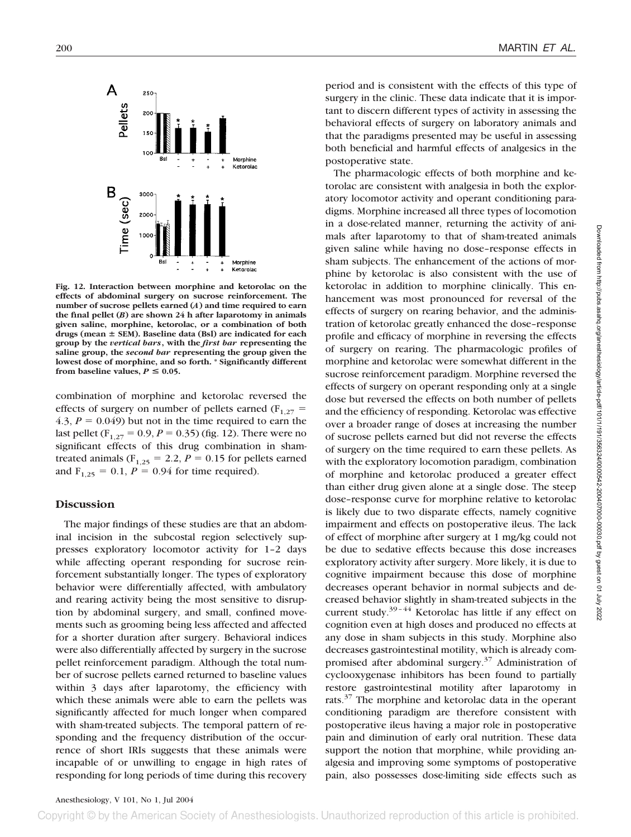

**Fig. 12. Interaction between morphine and ketorolac on the effects of abdominal surgery on sucrose reinforcement. The number of sucrose pellets earned (***A***) and time required to earn the final pellet (***B***) are shown 24 h after laparotomy in animals given saline, morphine, ketorolac, or a combination of both drugs (mean SEM). Baseline data (Bsl) are indicated for each group by the** *vertical bars***, with the** *first bar* **representing the saline group, the** *second bar* **representing the group given the lowest dose of morphine, and so forth. \* Significantly different** from baseline values,  $P \leq 0.05$ .

combination of morphine and ketorolac reversed the effects of surgery on number of pellets earned ( $F_{1,27}$  = 4.3,  $P = 0.049$ ) but not in the time required to earn the last pellet ( $F_{1,27} = 0.9$ ,  $P = 0.35$ ) (fig. 12). There were no significant effects of this drug combination in shamtreated animals ( $F_{1,25} = 2.2$ ,  $P = 0.15$  for pellets earned and  $F_{1,25} = 0.1$ ,  $P = 0.94$  for time required).

#### **Discussion**

The major findings of these studies are that an abdominal incision in the subcostal region selectively suppresses exploratory locomotor activity for 1–2 days while affecting operant responding for sucrose reinforcement substantially longer. The types of exploratory behavior were differentially affected, with ambulatory and rearing activity being the most sensitive to disruption by abdominal surgery, and small, confined movements such as grooming being less affected and affected for a shorter duration after surgery. Behavioral indices were also differentially affected by surgery in the sucrose pellet reinforcement paradigm. Although the total number of sucrose pellets earned returned to baseline values within 3 days after laparotomy, the efficiency with which these animals were able to earn the pellets was significantly affected for much longer when compared with sham-treated subjects. The temporal pattern of responding and the frequency distribution of the occurrence of short IRIs suggests that these animals were incapable of or unwilling to engage in high rates of responding for long periods of time during this recovery

period and is consistent with the effects of this type of surgery in the clinic. These data indicate that it is important to discern different types of activity in assessing the behavioral effects of surgery on laboratory animals and that the paradigms presented may be useful in assessing both beneficial and harmful effects of analgesics in the postoperative state.

The pharmacologic effects of both morphine and ketorolac are consistent with analgesia in both the exploratory locomotor activity and operant conditioning paradigms. Morphine increased all three types of locomotion in a dose-related manner, returning the activity of animals after laparotomy to that of sham-treated animals given saline while having no dose–response effects in sham subjects. The enhancement of the actions of morphine by ketorolac is also consistent with the use of ketorolac in addition to morphine clinically. This enhancement was most pronounced for reversal of the effects of surgery on rearing behavior, and the administration of ketorolac greatly enhanced the dose–response profile and efficacy of morphine in reversing the effects of surgery on rearing. The pharmacologic profiles of morphine and ketorolac were somewhat different in the sucrose reinforcement paradigm. Morphine reversed the effects of surgery on operant responding only at a single dose but reversed the effects on both number of pellets and the efficiency of responding. Ketorolac was effective over a broader range of doses at increasing the number of sucrose pellets earned but did not reverse the effects of surgery on the time required to earn these pellets. As with the exploratory locomotion paradigm, combination of morphine and ketorolac produced a greater effect than either drug given alone at a single dose. The steep dose–response curve for morphine relative to ketorolac is likely due to two disparate effects, namely cognitive impairment and effects on postoperative ileus. The lack of effect of morphine after surgery at 1 mg/kg could not be due to sedative effects because this dose increases exploratory activity after surgery. More likely, it is due to cognitive impairment because this dose of morphine decreases operant behavior in normal subjects and decreased behavior slightly in sham-treated subjects in the current study.<sup>39-44</sup> Ketorolac has little if any effect on cognition even at high doses and produced no effects at any dose in sham subjects in this study. Morphine also decreases gastrointestinal motility, which is already compromised after abdominal surgery.<sup>37</sup> Administration of cyclooxygenase inhibitors has been found to partially restore gastrointestinal motility after laparotomy in rats.<sup>37</sup> The morphine and ketorolac data in the operant conditioning paradigm are therefore consistent with postoperative ileus having a major role in postoperative pain and diminution of early oral nutrition. These data support the notion that morphine, while providing analgesia and improving some symptoms of postoperative pain, also possesses dose-limiting side effects such as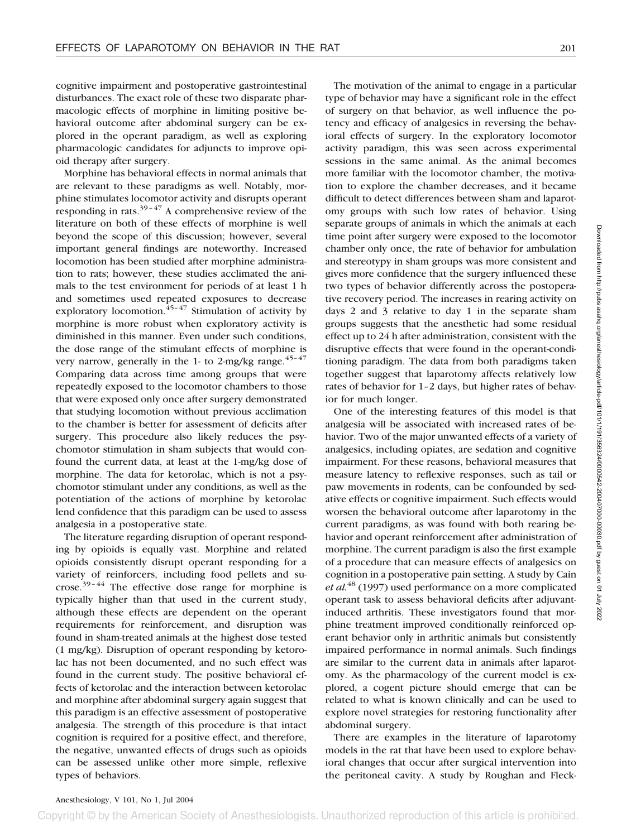cognitive impairment and postoperative gastrointestinal disturbances. The exact role of these two disparate pharmacologic effects of morphine in limiting positive behavioral outcome after abdominal surgery can be explored in the operant paradigm, as well as exploring pharmacologic candidates for adjuncts to improve opioid therapy after surgery.

Morphine has behavioral effects in normal animals that are relevant to these paradigms as well. Notably, morphine stimulates locomotor activity and disrupts operant responding in rats. $39-47$  A comprehensive review of the literature on both of these effects of morphine is well beyond the scope of this discussion; however, several important general findings are noteworthy. Increased locomotion has been studied after morphine administration to rats; however, these studies acclimated the animals to the test environment for periods of at least 1 h and sometimes used repeated exposures to decrease exploratory locomotion. $45-47$  Stimulation of activity by morphine is more robust when exploratory activity is diminished in this manner. Even under such conditions, the dose range of the stimulant effects of morphine is very narrow, generally in the 1- to 2-mg/kg range. $45-47$ Comparing data across time among groups that were repeatedly exposed to the locomotor chambers to those that were exposed only once after surgery demonstrated that studying locomotion without previous acclimation to the chamber is better for assessment of deficits after surgery. This procedure also likely reduces the psychomotor stimulation in sham subjects that would confound the current data, at least at the 1-mg/kg dose of morphine. The data for ketorolac, which is not a psychomotor stimulant under any conditions, as well as the potentiation of the actions of morphine by ketorolac lend confidence that this paradigm can be used to assess analgesia in a postoperative state.

The literature regarding disruption of operant responding by opioids is equally vast. Morphine and related opioids consistently disrupt operant responding for a variety of reinforcers, including food pellets and sucrose.<sup>39–44</sup> The effective dose range for morphine is typically higher than that used in the current study, although these effects are dependent on the operant requirements for reinforcement, and disruption was found in sham-treated animals at the highest dose tested (1 mg/kg). Disruption of operant responding by ketorolac has not been documented, and no such effect was found in the current study. The positive behavioral effects of ketorolac and the interaction between ketorolac and morphine after abdominal surgery again suggest that this paradigm is an effective assessment of postoperative analgesia. The strength of this procedure is that intact cognition is required for a positive effect, and therefore, the negative, unwanted effects of drugs such as opioids can be assessed unlike other more simple, reflexive types of behaviors.

The motivation of the animal to engage in a particular type of behavior may have a significant role in the effect of surgery on that behavior, as well influence the potency and efficacy of analgesics in reversing the behavioral effects of surgery. In the exploratory locomotor activity paradigm, this was seen across experimental sessions in the same animal. As the animal becomes more familiar with the locomotor chamber, the motivation to explore the chamber decreases, and it became difficult to detect differences between sham and laparotomy groups with such low rates of behavior. Using separate groups of animals in which the animals at each time point after surgery were exposed to the locomotor chamber only once, the rate of behavior for ambulation and stereotypy in sham groups was more consistent and gives more confidence that the surgery influenced these two types of behavior differently across the postoperative recovery period. The increases in rearing activity on days 2 and 3 relative to day 1 in the separate sham groups suggests that the anesthetic had some residual effect up to 24 h after administration, consistent with the disruptive effects that were found in the operant-conditioning paradigm. The data from both paradigms taken together suggest that laparotomy affects relatively low rates of behavior for 1–2 days, but higher rates of behavior for much longer.

One of the interesting features of this model is that analgesia will be associated with increased rates of behavior. Two of the major unwanted effects of a variety of analgesics, including opiates, are sedation and cognitive impairment. For these reasons, behavioral measures that measure latency to reflexive responses, such as tail or paw movements in rodents, can be confounded by sedative effects or cognitive impairment. Such effects would worsen the behavioral outcome after laparotomy in the current paradigms, as was found with both rearing behavior and operant reinforcement after administration of morphine. The current paradigm is also the first example of a procedure that can measure effects of analgesics on cognition in a postoperative pain setting. A study by Cain *et al.*<sup>48</sup> (1997) used performance on a more complicated operant task to assess behavioral deficits after adjuvantinduced arthritis. These investigators found that morphine treatment improved conditionally reinforced operant behavior only in arthritic animals but consistently impaired performance in normal animals. Such findings are similar to the current data in animals after laparotomy. As the pharmacology of the current model is explored, a cogent picture should emerge that can be related to what is known clinically and can be used to explore novel strategies for restoring functionality after abdominal surgery.

There are examples in the literature of laparotomy models in the rat that have been used to explore behavioral changes that occur after surgical intervention into the peritoneal cavity. A study by Roughan and Fleck-

## Anesthesiology, V 101, No 1, Jul 2004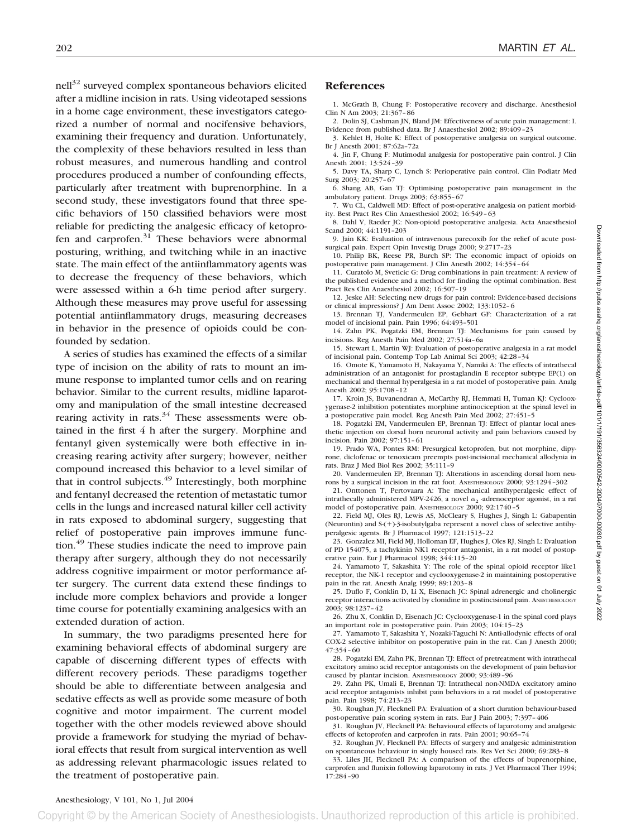nell<sup>32</sup> surveyed complex spontaneous behaviors elicited after a midline incision in rats. Using videotaped sessions in a home cage environment, these investigators categorized a number of normal and nocifensive behaviors, examining their frequency and duration. Unfortunately, the complexity of these behaviors resulted in less than robust measures, and numerous handling and control procedures produced a number of confounding effects, particularly after treatment with buprenorphine. In a second study, these investigators found that three specific behaviors of 150 classified behaviors were most reliable for predicting the analgesic efficacy of ketoprofen and carprofen.<sup>31</sup> These behaviors were abnormal posturing, writhing, and twitching while in an inactive state. The main effect of the antiinflammatory agents was to decrease the frequency of these behaviors, which were assessed within a 6-h time period after surgery. Although these measures may prove useful for assessing potential antiinflammatory drugs, measuring decreases in behavior in the presence of opioids could be confounded by sedation.

A series of studies has examined the effects of a similar type of incision on the ability of rats to mount an immune response to implanted tumor cells and on rearing behavior. Similar to the current results, midline laparotomy and manipulation of the small intestine decreased rearing activity in rats. $34$  These assessments were obtained in the first 4 h after the surgery. Morphine and fentanyl given systemically were both effective in increasing rearing activity after surgery; however, neither compound increased this behavior to a level similar of that in control subjects. $49$  Interestingly, both morphine and fentanyl decreased the retention of metastatic tumor cells in the lungs and increased natural killer cell activity in rats exposed to abdominal surgery, suggesting that relief of postoperative pain improves immune function.<sup>49</sup> These studies indicate the need to improve pain therapy after surgery, although they do not necessarily address cognitive impairment or motor performance after surgery. The current data extend these findings to include more complex behaviors and provide a longer time course for potentially examining analgesics with an extended duration of action.

In summary, the two paradigms presented here for examining behavioral effects of abdominal surgery are capable of discerning different types of effects with different recovery periods. These paradigms together should be able to differentiate between analgesia and sedative effects as well as provide some measure of both cognitive and motor impairment. The current model together with the other models reviewed above should provide a framework for studying the myriad of behavioral effects that result from surgical intervention as well as addressing relevant pharmacologic issues related to the treatment of postoperative pain.

## **References**

1. McGrath B, Chung F: Postoperative recovery and discharge. Anesthesiol Clin N Am 2003; 21:367–86

2. Dolin SJ, Cashman JN, Bland JM: Effectiveness of acute pain management: I. Evidence from published data. Br J Anaesthesiol 2002; 89:409–23

3. Kehlet H, Holte K: Effect of postoperative analgesia on surgical outcome. Br J Anesth 2001; 87:62a–72a

4. Jin F, Chung F: Mutimodal analgesia for postoperative pain control. J Clin Anesth 2001; 13:524–39

5. Davy TA, Sharp C, Lynch S: Perioperative pain control. Clin Podiatr Med Surg 2003; 20:257–67

6. Shang AB, Gan TJ: Optimising postoperative pain management in the ambulatory patient. Drugs 2003; 63:855–67

7. Wu CL, Caldwell MD: Effect of post-operative analgesia on patient morbidity. Best Pract Res Clin Anaesthesiol 2002; 16:549–63

8. Dahl V, Raeder JC: Non-opioid postoperative analgesia. Acta Anaesthesiol Scand 2000; 44:1191–203

9. Jain KK: Evaluation of intravenous parecoxib for the relief of acute postsurgical pain. Expert Opin Investig Drugs 2000; 9:2717–23

10. Philip BK, Reese PR, Burch SP: The economic impact of opioids on postoperative pain management. J Clin Anesth 2002; 14:354–64

11. Curatolo M, Sveticic G: Drug combinations in pain treatment: A review of the published evidence and a method for finding the optimal combination. Best Pract Res Clin Anaesthesiol 2002; 16:507–19

12. Jeske AH: Selecting new drugs for pain control: Evidence-based decisions or clinical impressions? J Am Dent Assoc 2002; 133:1052–6

13. Brennan TJ, Vandermeulen EP, Gebhart GF: Characterization of a rat model of incisional pain. Pain 1996; 64:493–501

14. Zahn PK, Pogatzki EM, Brennan TJ: Mechanisms for pain caused by incisions. Reg Anesth Pain Med 2002; 27:514a–6a

15. Stewart L, Martin WJ: Evaluation of postoperative analgesia in a rat model of incisional pain. Contemp Top Lab Animal Sci 2003; 42:28–34

16. Omote K, Yamamoto H, Nakayama Y, Namiki A: The effects of intrathecal administration of an antagonist for prostaglandin E receptor subtype EP(1) on mechanical and thermal hyperalgesia in a rat model of postoperative pain. Analg Anesth 2002; 95:1708–12

17. Kroin JS, Buvanendran A, McCarthy RJ, Hemmati H, Tuman KJ: Cyclooxygenase-2 inhibition potentiates morphine antinociception at the spinal level in a postoperative pain model. Reg Anesth Pain Med 2002; 27:451–5

18. Pogatzki EM, Vandermeulen EP, Brennan TJ: Effect of plantar local anesthetic injection on dorsal horn neuronal activity and pain behaviors caused by incision. Pain 2002; 97:151–61

19. Prado WA, Pontes RM: Presurgical ketoprofen, but not morphine, dipyrone, diclofenac or tenoxicam preempts post-incisional mechanical allodynia in rats. Braz J Med Biol Res 2002; 35:111–9

20. Vandermeulen EP, Brennan TJ: Alterations in ascending dorsal horn neurons by a surgical incision in the rat foot. ANESTHESIOLOGY 2000; 93:1294–302

21. Onttonen T, Pertovaara A: The mechanical antihyperalgesic effect of intrathecally administered MPV-2426, a novel  $\alpha_2$  -adrenoceptor agonist, in a rat model of postoperative pain. ANESTHESIOLOGY 2000; 92:1740–5

22. Field MJ, Oles RJ, Lewis AS, McCleary S, Hughes J, Singh L: Gabapentin (Neurontin) and  $S(+)$ -3-isobutylgaba represent a novel class of selective antihyperalgesic agents. Br J Pharmacol 1997; 121:1513–22

23. Gonzalez MI, Field MJ, Holloman EF, Hughes J, Oles RJ, Singh L: Evaluation of PD 154075, a tachykinin NK1 receptor antagonist, in a rat model of postoperative pain. Eur J Pharmacol 1998; 344:115–20

24. Yamamoto T, Sakashita Y: The role of the spinal opioid receptor like1 receptor, the NK-1 receptor and cyclooxygenase-2 in maintaining postoperative pain in the rat. Anesth Analg 1999; 89:1203–8

25. Duflo F, Conklin D, Li X, Eisenach JC: Spinal adrenergic and cholinergic receptor interactions activated by clonidine in postincisional pain. ANESTHESIOLOGY 2003; 98:1237–42

26. Zhu X, Conklin D, Eisenach JC: Cyclooxygenase-1 in the spinal cord plays an important role in postoperative pain. Pain 2003; 104:15–23

27. Yamamoto T, Sakashita Y, Nozaki-Taguchi N: Anti-allodynic effects of oral COX-2 selective inhibitor on postoperative pain in the rat. Can J Anesth 2000; 47:354–60

28. Pogatzki EM, Zahn PK, Brennan TJ: Effect of pretreatment with intrathecal excitatory amino acid receptor antagonists on the development of pain behavior caused by plantar incision. ANESTHESIOLOGY 2000; 93:489–96

29. Zahn PK, Umali E, Brennan TJ: Intrathecal non-NMDA excitatory amino acid receptor antagonists inhibit pain behaviors in a rat model of postoperative pain. Pain 1998; 74:213–23

30. Roughan JV, Flecknell PA: Evaluation of a short duration behaviour-based post-operative pain scoring system in rats. Eur J Pain 2003; 7:397–406

31. Roughan JV, Flecknell PA: Behavioural effects of laparotomy and analgesic effects of ketoprofen and carprofen in rats. Pain 2001; 90:65–74

32. Roughan JV, Flecknell PA: Effects of surgery and analgesic administration on spontaneous behaviour in singly housed rats. Res Vet Sci 2000; 69:283–8

33. Liles JH, Flecknell PA: A comparison of the effects of buprenorphine, carprofen and flunixin following laparotomy in rats. J Vet Pharmacol Ther 1994; 17:284–90